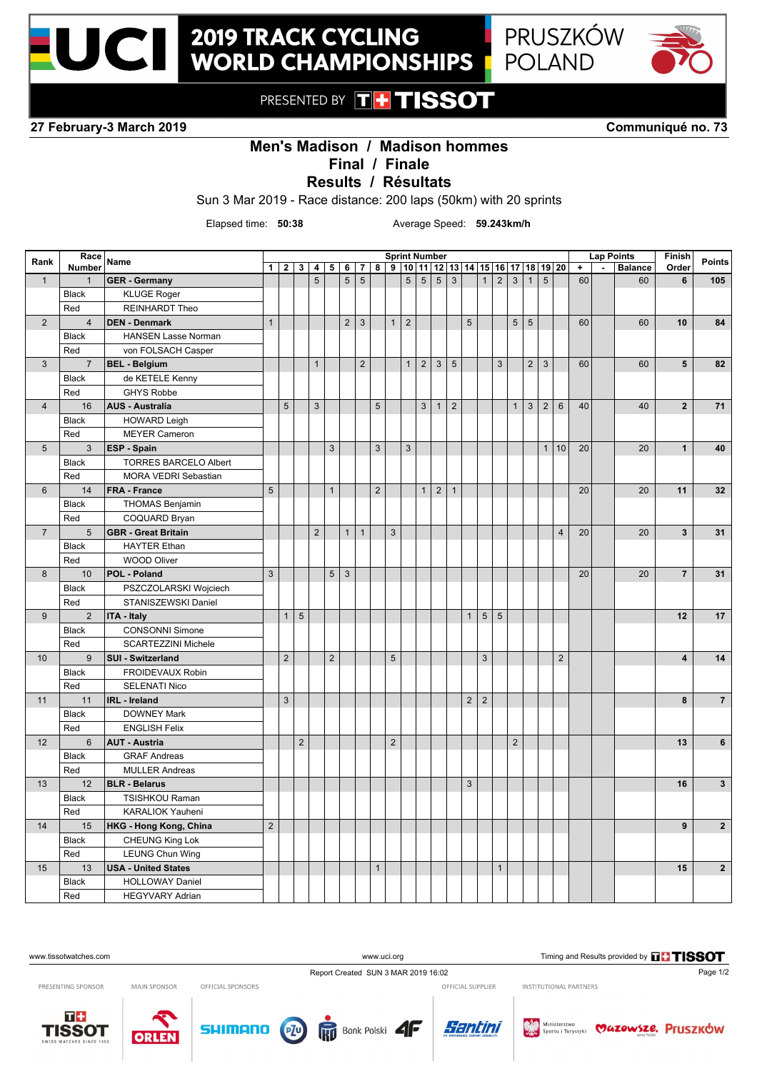

## **2019 TRACK CYCLING WORLD CHAMPIONSHIPS**



PRESENTED BY THTISSOT

**27 February-3 March 2019 Communiqué no. 73**

## **Men's Madison / Madison hommes**

**Final / Finale**

**Results / Résultats**

Sun 3 Mar 2019 - Race distance: 200 laps (50km) with 20 sprints

Elapsed time: **50:38** Average Speed: **59.243km/h**

| Rank                    | Race<br><b>Number</b> | Name                                       | <b>Sprint Number</b><br>$9 10 11 12 13 14 15 16 17 18 19 20$<br>$1 \mid 2 \mid 3 \mid 4$<br>5 6 7 |                |            |                |                           |              |                 |                           |                |              |                |                 |                |                | <b>Lap Points</b> |                |                | Finish       | <b>Points</b>  |                 |                      |          |                |                         |                         |
|-------------------------|-----------------------|--------------------------------------------|---------------------------------------------------------------------------------------------------|----------------|------------|----------------|---------------------------|--------------|-----------------|---------------------------|----------------|--------------|----------------|-----------------|----------------|----------------|-------------------|----------------|----------------|--------------|----------------|-----------------|----------------------|----------|----------------|-------------------------|-------------------------|
|                         |                       |                                            |                                                                                                   |                |            |                |                           |              |                 | 8 <sup>1</sup>            |                |              |                |                 |                |                |                   |                |                |              |                |                 | $\ddot{\phantom{1}}$ | $\omega$ | <b>Balance</b> | Order                   |                         |
| $\mathbf{1}$            | $\mathbf{1}$          | <b>GER - Germany</b>                       |                                                                                                   |                |            | $\overline{5}$ |                           | 5            | $5\phantom{.0}$ |                           |                | 5            | $\overline{5}$ | $5\overline{5}$ | $\mathbf{3}$   |                | $\mathbf{1}$      | $\overline{2}$ | 3              | $\mathbf{1}$ | 5              |                 | 60                   |          | 60             | 6                       | 105                     |
|                         | <b>Black</b>          | <b>KLUGE Roger</b>                         |                                                                                                   |                |            |                |                           |              |                 |                           |                |              |                |                 |                |                |                   |                |                |              |                |                 |                      |          |                |                         |                         |
|                         | Red                   | <b>REINHARDT Theo</b>                      |                                                                                                   |                |            |                |                           |              |                 |                           |                |              |                |                 |                |                |                   |                |                |              |                |                 |                      |          |                |                         |                         |
| $\overline{2}$          | $\overline{4}$        | <b>DEN - Denmark</b>                       | $\mathbf{1}$                                                                                      |                |            |                |                           | $\mathbf 2$  | $\mathbf{3}$    |                           | $\mathbf{1}$   | $\sqrt{2}$   |                |                 |                | $\overline{5}$ |                   |                | 5 <sup>5</sup> | 5            |                |                 | 60                   |          | 60             | 10                      | 84                      |
|                         | Black                 | <b>HANSEN Lasse Norman</b>                 |                                                                                                   |                |            |                |                           |              |                 |                           |                |              |                |                 |                |                |                   |                |                |              |                |                 |                      |          |                |                         |                         |
|                         | Red                   | von FOLSACH Casper                         |                                                                                                   |                |            |                |                           |              |                 |                           |                |              |                |                 |                |                |                   |                |                |              |                |                 |                      |          |                |                         |                         |
| $\mathbf{3}$            | $\overline{7}$        | <b>BEL - Belgium</b>                       |                                                                                                   |                |            | $\mathbf{1}$   |                           |              | $\overline{2}$  |                           |                | $\mathbf{1}$ | $\overline{2}$ | $\mathbf{3}$    | $\sqrt{5}$     |                |                   | $\mathfrak{Z}$ |                | 2            | $\mathbf{3}$   |                 | 60                   |          | 60             | 5                       | 82                      |
|                         | <b>Black</b>          | de KETELE Kenny                            |                                                                                                   |                |            |                |                           |              |                 |                           |                |              |                |                 |                |                |                   |                |                |              |                |                 |                      |          |                |                         |                         |
|                         | Red                   | <b>GHYS Robbe</b>                          |                                                                                                   |                |            |                |                           |              |                 |                           |                |              |                |                 |                |                |                   |                |                |              |                |                 |                      |          |                |                         |                         |
| $\overline{\mathbf{4}}$ | 16                    | <b>AUS - Australia</b>                     |                                                                                                   | $\overline{5}$ |            | $\mathbf{3}$   |                           |              |                 | $5\phantom{.0}$           |                |              | 3              | $\mathbf{1}$    | $\overline{2}$ |                |                   |                | $\mathbf{1}$   | $\mathbf{3}$ | $\overline{2}$ | $6\phantom{1}6$ | 40                   |          | 40             | $\overline{2}$          | 71                      |
|                         | <b>Black</b>          | <b>HOWARD Leigh</b>                        |                                                                                                   |                |            |                |                           |              |                 |                           |                |              |                |                 |                |                |                   |                |                |              |                |                 |                      |          |                |                         |                         |
|                         | Red                   | <b>MEYER Cameron</b>                       |                                                                                                   |                |            |                |                           |              |                 |                           |                |              |                |                 |                |                |                   |                |                |              |                |                 |                      |          |                |                         |                         |
| 5                       | 3                     | <b>ESP - Spain</b>                         |                                                                                                   |                |            |                | $\ensuremath{\mathsf{3}}$ |              |                 | $\ensuremath{\mathsf{3}}$ |                | $\mathsf 3$  |                |                 |                |                |                   |                |                |              | 1              | 10              | 20                   |          | 20             | $\mathbf{1}$            | 40                      |
|                         | <b>Black</b>          | <b>TORRES BARCELO Albert</b>               |                                                                                                   |                |            |                |                           |              |                 |                           |                |              |                |                 |                |                |                   |                |                |              |                |                 |                      |          |                |                         |                         |
|                         | Red                   | MORA VEDRI Sebastian                       |                                                                                                   |                |            |                |                           |              |                 |                           |                |              |                |                 |                |                |                   |                |                |              |                |                 |                      |          |                |                         |                         |
| $6\phantom{1}$          | 14                    | <b>FRA - France</b>                        | $\overline{5}$                                                                                    |                |            |                | $\mathbf{1}$              |              |                 | 2                         |                |              | 1              | $\overline{2}$  | $\mathbf{1}$   |                |                   |                |                |              |                |                 | 20                   |          | 20             | 11                      | 32                      |
|                         | <b>Black</b>          | <b>THOMAS Benjamin</b>                     |                                                                                                   |                |            |                |                           |              |                 |                           |                |              |                |                 |                |                |                   |                |                |              |                |                 |                      |          |                |                         |                         |
|                         | Red                   | COQUARD Bryan                              |                                                                                                   |                |            |                |                           |              |                 |                           |                |              |                |                 |                |                |                   |                |                |              |                |                 |                      |          |                |                         |                         |
| $\overline{7}$          | 5                     | <b>GBR</b> - Great Britain                 |                                                                                                   |                |            | $\overline{2}$ |                           | $\mathbf{1}$ | $\mathbf{1}$    |                           | $\mathfrak{S}$ |              |                |                 |                |                |                   |                |                |              |                | $\overline{4}$  | 20                   |          | 20             | $\overline{\mathbf{3}}$ | 31                      |
|                         | <b>Black</b>          | <b>HAYTER Ethan</b>                        |                                                                                                   |                |            |                |                           |              |                 |                           |                |              |                |                 |                |                |                   |                |                |              |                |                 |                      |          |                |                         |                         |
|                         | Red                   | <b>WOOD Oliver</b>                         |                                                                                                   |                |            |                |                           |              |                 |                           |                |              |                |                 |                |                |                   |                |                |              |                |                 |                      |          |                |                         |                         |
| 8                       | 10                    | POL - Poland                               | $\mathbf{3}$                                                                                      |                |            |                | $5\phantom{.0}$           | $\mathbf{3}$ |                 |                           |                |              |                |                 |                |                |                   |                |                |              |                |                 | 20                   |          | 20             | $\overline{7}$          | 31                      |
|                         | <b>Black</b>          | PSZCZOLARSKI Wojciech                      |                                                                                                   |                |            |                |                           |              |                 |                           |                |              |                |                 |                |                |                   |                |                |              |                |                 |                      |          |                |                         |                         |
|                         | Red                   | STANISZEWSKI Daniel                        |                                                                                                   |                |            |                |                           |              |                 |                           |                |              |                |                 |                |                |                   |                |                |              |                |                 |                      |          |                |                         |                         |
| $9\,$                   | 2                     | <b>ITA - Italy</b>                         |                                                                                                   | $\mathbf{1}$   | $\sqrt{5}$ |                |                           |              |                 |                           |                |              |                |                 |                | $\mathbf{1}$   | $5\phantom{.0}$   | $5\phantom{1}$ |                |              |                |                 |                      |          |                | 12                      | 17                      |
|                         | <b>Black</b>          | <b>CONSONNI Simone</b>                     |                                                                                                   |                |            |                |                           |              |                 |                           |                |              |                |                 |                |                |                   |                |                |              |                |                 |                      |          |                |                         |                         |
|                         | Red                   | <b>SCARTEZZINI Michele</b>                 |                                                                                                   |                |            |                |                           |              |                 |                           |                |              |                |                 |                |                |                   |                |                |              |                |                 |                      |          |                |                         |                         |
| 10                      | 9                     | <b>SUI - Switzerland</b>                   |                                                                                                   | $\overline{2}$ |            |                | $\sqrt{2}$                |              |                 |                           | $\sqrt{5}$     |              |                |                 |                |                | $\overline{3}$    |                |                |              |                | $\overline{2}$  |                      |          |                | $\overline{\mathbf{4}}$ | 14                      |
|                         | <b>Black</b>          | FROIDEVAUX Robin                           |                                                                                                   |                |            |                |                           |              |                 |                           |                |              |                |                 |                |                |                   |                |                |              |                |                 |                      |          |                |                         |                         |
|                         | Red                   | <b>SELENATI Nico</b>                       |                                                                                                   |                |            |                |                           |              |                 |                           |                |              |                |                 |                |                |                   |                |                |              |                |                 |                      |          |                |                         |                         |
| 11                      | 11                    | <b>IRL</b> - Ireland                       |                                                                                                   | 3              |            |                |                           |              |                 |                           |                |              |                |                 |                | $2^{\circ}$    | $\overline{2}$    |                |                |              |                |                 |                      |          |                | 8                       | $\overline{7}$          |
|                         |                       |                                            |                                                                                                   |                |            |                |                           |              |                 |                           |                |              |                |                 |                |                |                   |                |                |              |                |                 |                      |          |                |                         |                         |
|                         | <b>Black</b><br>Red   | <b>DOWNEY Mark</b><br><b>ENGLISH Felix</b> |                                                                                                   |                |            |                |                           |              |                 |                           |                |              |                |                 |                |                |                   |                |                |              |                |                 |                      |          |                |                         |                         |
| 12                      | $6\phantom{1}$        | <b>AUT - Austria</b>                       |                                                                                                   |                | $\sqrt{2}$ |                |                           |              |                 |                           | $\overline{2}$ |              |                |                 |                |                |                   |                | $\overline{2}$ |              |                |                 |                      |          |                | 13                      | 6                       |
|                         |                       |                                            |                                                                                                   |                |            |                |                           |              |                 |                           |                |              |                |                 |                |                |                   |                |                |              |                |                 |                      |          |                |                         |                         |
|                         | <b>Black</b>          | <b>GRAF Andreas</b>                        |                                                                                                   |                |            |                |                           |              |                 |                           |                |              |                |                 |                |                |                   |                |                |              |                |                 |                      |          |                |                         |                         |
|                         | Red                   | <b>MULLER Andreas</b>                      |                                                                                                   |                |            |                |                           |              |                 |                           |                |              |                |                 |                |                |                   |                |                |              |                |                 |                      |          |                |                         |                         |
| 13                      | 12                    | <b>BLR - Belarus</b>                       |                                                                                                   |                |            |                |                           |              |                 |                           |                |              |                |                 |                | $\sqrt{3}$     |                   |                |                |              |                |                 |                      |          |                | 16                      | $\mathbf{3}$            |
|                         | Black                 | <b>TSISHKOU Raman</b>                      |                                                                                                   |                |            |                |                           |              |                 |                           |                |              |                |                 |                |                |                   |                |                |              |                |                 |                      |          |                |                         |                         |
|                         | Red                   | KARALIOK Yauheni                           |                                                                                                   |                |            |                |                           |              |                 |                           |                |              |                |                 |                |                |                   |                |                |              |                |                 |                      |          |                |                         |                         |
| 14                      | 15                    | <b>HKG - Hong Kong, China</b>              | $\overline{2}$                                                                                    |                |            |                |                           |              |                 |                           |                |              |                |                 |                |                |                   |                |                |              |                |                 |                      |          |                | 9                       | $\overline{2}$          |
|                         | <b>Black</b>          | <b>CHEUNG King Lok</b>                     |                                                                                                   |                |            |                |                           |              |                 |                           |                |              |                |                 |                |                |                   |                |                |              |                |                 |                      |          |                |                         |                         |
|                         | Red                   | <b>LEUNG Chun Wing</b>                     |                                                                                                   |                |            |                |                           |              |                 |                           |                |              |                |                 |                |                |                   |                |                |              |                |                 |                      |          |                |                         |                         |
| 15                      | 13                    | <b>USA - United States</b>                 |                                                                                                   |                |            |                |                           |              |                 | $\mathbf{1}$              |                |              |                |                 |                |                |                   | $\mathbf{1}$   |                |              |                |                 |                      |          |                | 15                      | $\overline{\mathbf{2}}$ |
|                         | <b>Black</b>          | <b>HOLLOWAY Daniel</b>                     |                                                                                                   |                |            |                |                           |              |                 |                           |                |              |                |                 |                |                |                   |                |                |              |                |                 |                      |          |                |                         |                         |
|                         | Red                   | <b>HEGYVARY Adrian</b>                     |                                                                                                   |                |            |                |                           |              |                 |                           |                |              |                |                 |                |                |                   |                |                |              |                |                 |                      |          |                |                         |                         |

PRESENTING SPONSOR

MAIN SPONSOR

OFFICIAL SPONSORS

OFFICIAL SUPPLIER

INSTITUTIONAL PARTNERS